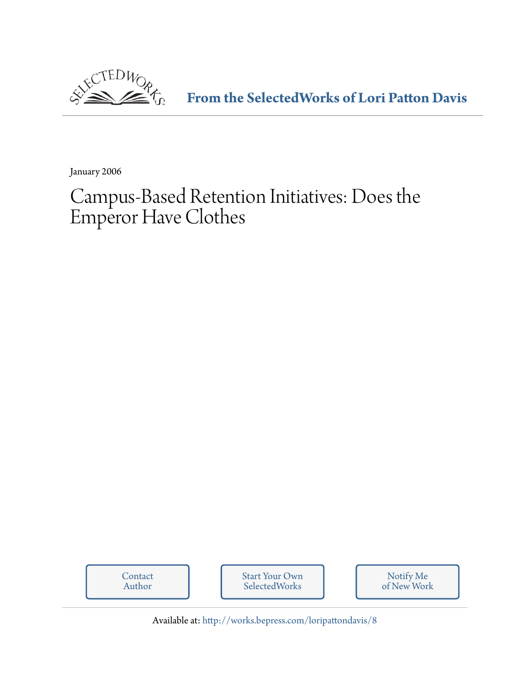

**[From the SelectedWorks of Lori Patton Davis](http://works.bepress.com/loripattondavis)**

January 2006

# Campus-Based Retention Initiatives: Does the Emperor Have Clothes

| Contact<br>Author |  | <b>Start Your Own</b><br><b>SelectedWorks</b> |  | Notify Me<br>of New Work |
|-------------------|--|-----------------------------------------------|--|--------------------------|
|-------------------|--|-----------------------------------------------|--|--------------------------|

Available at: <http://works.bepress.com/loripattondavis/8>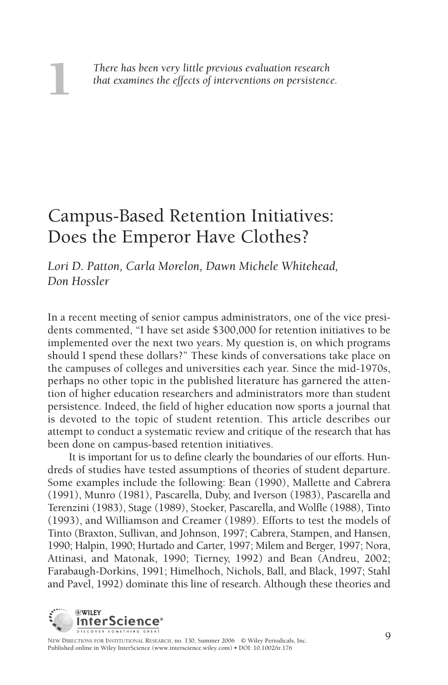*There has been very little previous evaluation research that examines the effects of interventions on persistence.*

## Campus-Based Retention Initiatives: Does the Emperor Have Clothes?

*Lori D. Patton, Carla Morelon, Dawn Michele Whitehead, Don Hossler*

In a recent meeting of senior campus administrators, one of the vice presidents commented, "I have set aside \$300,000 for retention initiatives to be implemented over the next two years. My question is, on which programs should I spend these dollars?" These kinds of conversations take place on the campuses of colleges and universities each year. Since the mid-1970s, perhaps no other topic in the published literature has garnered the attention of higher education researchers and administrators more than student persistence. Indeed, the field of higher education now sports a journal that is devoted to the topic of student retention. This article describes our attempt to conduct a systematic review and critique of the research that has been done on campus-based retention initiatives.

It is important for us to define clearly the boundaries of our efforts. Hundreds of studies have tested assumptions of theories of student departure. Some examples include the following: Bean (1990), Mallette and Cabrera (1991), Munro (1981), Pascarella, Duby, and Iverson (1983), Pascarella and Terenzini (1983), Stage (1989), Stoeker, Pascarella, and Wolfle (1988), Tinto (1993), and Williamson and Creamer (1989). Efforts to test the models of Tinto (Braxton, Sullivan, and Johnson, 1997; Cabrera, Stampen, and Hansen, 1990; Halpin, 1990; Hurtado and Carter, 1997; Milem and Berger, 1997; Nora, Attinasi, and Matonak, 1990; Tierney, 1992) and Bean (Andreu, 2002; Farabaugh-Dorkins, 1991; Himelhoch, Nichols, Ball, and Black, 1997; Stahl and Pavel, 1992) dominate this line of research. Although these theories and

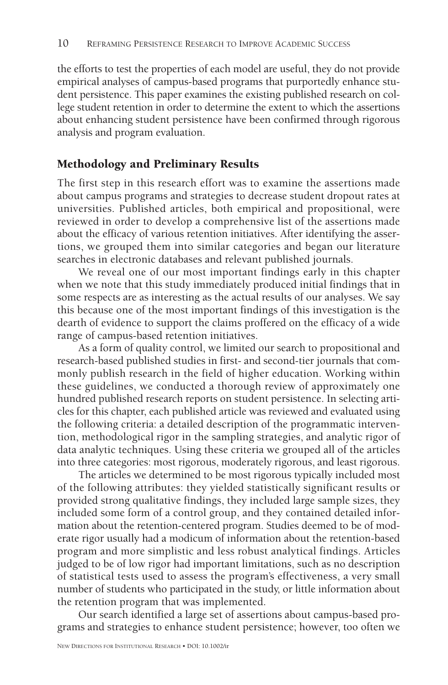the efforts to test the properties of each model are useful, they do not provide empirical analyses of campus-based programs that purportedly enhance student persistence. This paper examines the existing published research on college student retention in order to determine the extent to which the assertions about enhancing student persistence have been confirmed through rigorous analysis and program evaluation.

#### Methodology and Preliminary Results

The first step in this research effort was to examine the assertions made about campus programs and strategies to decrease student dropout rates at universities. Published articles, both empirical and propositional, were reviewed in order to develop a comprehensive list of the assertions made about the efficacy of various retention initiatives. After identifying the assertions, we grouped them into similar categories and began our literature searches in electronic databases and relevant published journals.

We reveal one of our most important findings early in this chapter when we note that this study immediately produced initial findings that in some respects are as interesting as the actual results of our analyses. We say this because one of the most important findings of this investigation is the dearth of evidence to support the claims proffered on the efficacy of a wide range of campus-based retention initiatives.

As a form of quality control, we limited our search to propositional and research-based published studies in first- and second-tier journals that commonly publish research in the field of higher education. Working within these guidelines, we conducted a thorough review of approximately one hundred published research reports on student persistence. In selecting articles for this chapter, each published article was reviewed and evaluated using the following criteria: a detailed description of the programmatic intervention, methodological rigor in the sampling strategies, and analytic rigor of data analytic techniques. Using these criteria we grouped all of the articles into three categories: most rigorous, moderately rigorous, and least rigorous.

The articles we determined to be most rigorous typically included most of the following attributes: they yielded statistically significant results or provided strong qualitative findings, they included large sample sizes, they included some form of a control group, and they contained detailed information about the retention-centered program. Studies deemed to be of moderate rigor usually had a modicum of information about the retention-based program and more simplistic and less robust analytical findings. Articles judged to be of low rigor had important limitations, such as no description of statistical tests used to assess the program's effectiveness, a very small number of students who participated in the study, or little information about the retention program that was implemented.

Our search identified a large set of assertions about campus-based programs and strategies to enhance student persistence; however, too often we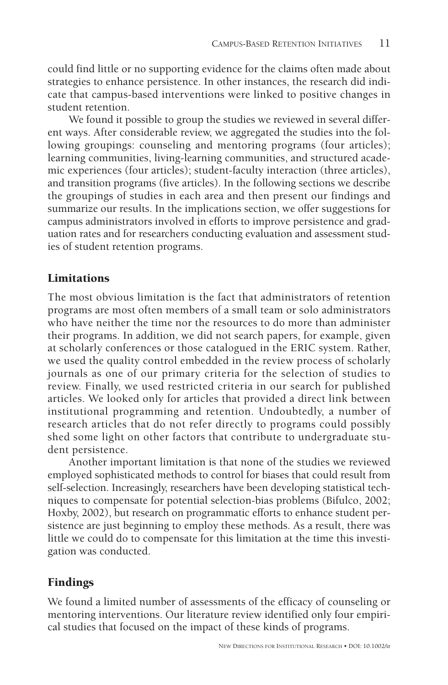could find little or no supporting evidence for the claims often made about strategies to enhance persistence. In other instances, the research did indicate that campus-based interventions were linked to positive changes in student retention.

We found it possible to group the studies we reviewed in several different ways. After considerable review, we aggregated the studies into the following groupings: counseling and mentoring programs (four articles); learning communities, living-learning communities, and structured academic experiences (four articles); student-faculty interaction (three articles), and transition programs (five articles). In the following sections we describe the groupings of studies in each area and then present our findings and summarize our results. In the implications section, we offer suggestions for campus administrators involved in efforts to improve persistence and graduation rates and for researchers conducting evaluation and assessment studies of student retention programs.

#### **Limitations**

The most obvious limitation is the fact that administrators of retention programs are most often members of a small team or solo administrators who have neither the time nor the resources to do more than administer their programs. In addition, we did not search papers, for example, given at scholarly conferences or those catalogued in the ERIC system. Rather, we used the quality control embedded in the review process of scholarly journals as one of our primary criteria for the selection of studies to review. Finally, we used restricted criteria in our search for published articles. We looked only for articles that provided a direct link between institutional programming and retention. Undoubtedly, a number of research articles that do not refer directly to programs could possibly shed some light on other factors that contribute to undergraduate student persistence.

Another important limitation is that none of the studies we reviewed employed sophisticated methods to control for biases that could result from self-selection. Increasingly, researchers have been developing statistical techniques to compensate for potential selection-bias problems (Bifulco, 2002; Hoxby, 2002), but research on programmatic efforts to enhance student persistence are just beginning to employ these methods. As a result, there was little we could do to compensate for this limitation at the time this investigation was conducted.

#### Findings

We found a limited number of assessments of the efficacy of counseling or mentoring interventions. Our literature review identified only four empirical studies that focused on the impact of these kinds of programs.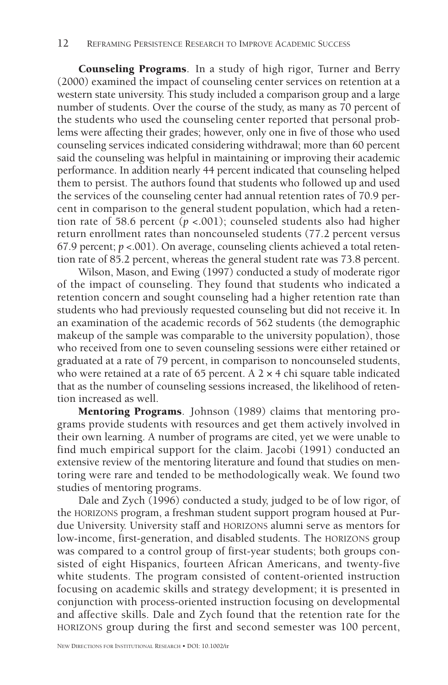Counseling Programs. In a study of high rigor, Turner and Berry (2000) examined the impact of counseling center services on retention at a western state university. This study included a comparison group and a large number of students. Over the course of the study, as many as 70 percent of the students who used the counseling center reported that personal problems were affecting their grades; however, only one in five of those who used counseling services indicated considering withdrawal; more than 60 percent said the counseling was helpful in maintaining or improving their academic performance. In addition nearly 44 percent indicated that counseling helped them to persist. The authors found that students who followed up and used the services of the counseling center had annual retention rates of 70.9 percent in comparison to the general student population, which had a retention rate of 58.6 percent  $(p < .001)$ ; counseled students also had higher return enrollment rates than noncounseled students (77.2 percent versus 67.9 percent; *p* <.001). On average, counseling clients achieved a total retention rate of 85.2 percent, whereas the general student rate was 73.8 percent.

Wilson, Mason, and Ewing (1997) conducted a study of moderate rigor of the impact of counseling. They found that students who indicated a retention concern and sought counseling had a higher retention rate than students who had previously requested counseling but did not receive it. In an examination of the academic records of 562 students (the demographic makeup of the sample was comparable to the university population), those who received from one to seven counseling sessions were either retained or graduated at a rate of 79 percent, in comparison to noncounseled students, who were retained at a rate of 65 percent. A  $2 \times 4$  chi square table indicated that as the number of counseling sessions increased, the likelihood of retention increased as well.

Mentoring Programs. Johnson (1989) claims that mentoring programs provide students with resources and get them actively involved in their own learning. A number of programs are cited, yet we were unable to find much empirical support for the claim. Jacobi (1991) conducted an extensive review of the mentoring literature and found that studies on mentoring were rare and tended to be methodologically weak. We found two studies of mentoring programs.

Dale and Zych (1996) conducted a study, judged to be of low rigor, of the HORIZONS program, a freshman student support program housed at Purdue University. University staff and HORIZONS alumni serve as mentors for low-income, first-generation, and disabled students. The HORIZONS group was compared to a control group of first-year students; both groups consisted of eight Hispanics, fourteen African Americans, and twenty-five white students. The program consisted of content-oriented instruction focusing on academic skills and strategy development; it is presented in conjunction with process-oriented instruction focusing on developmental and affective skills. Dale and Zych found that the retention rate for the HORIZONS group during the first and second semester was 100 percent,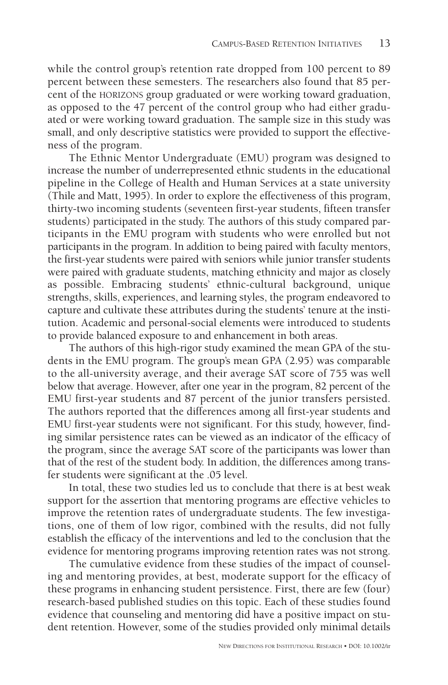while the control group's retention rate dropped from 100 percent to 89 percent between these semesters. The researchers also found that 85 percent of the HORIZONS group graduated or were working toward graduation, as opposed to the 47 percent of the control group who had either graduated or were working toward graduation. The sample size in this study was small, and only descriptive statistics were provided to support the effectiveness of the program.

The Ethnic Mentor Undergraduate (EMU) program was designed to increase the number of underrepresented ethnic students in the educational pipeline in the College of Health and Human Services at a state university (Thile and Matt, 1995). In order to explore the effectiveness of this program, thirty-two incoming students (seventeen first-year students, fifteen transfer students) participated in the study. The authors of this study compared participants in the EMU program with students who were enrolled but not participants in the program. In addition to being paired with faculty mentors, the first-year students were paired with seniors while junior transfer students were paired with graduate students, matching ethnicity and major as closely as possible. Embracing students' ethnic-cultural background, unique strengths, skills, experiences, and learning styles, the program endeavored to capture and cultivate these attributes during the students' tenure at the institution. Academic and personal-social elements were introduced to students to provide balanced exposure to and enhancement in both areas.

The authors of this high-rigor study examined the mean GPA of the students in the EMU program. The group's mean GPA (2.95) was comparable to the all-university average, and their average SAT score of 755 was well below that average. However, after one year in the program, 82 percent of the EMU first-year students and 87 percent of the junior transfers persisted. The authors reported that the differences among all first-year students and EMU first-year students were not significant. For this study, however, finding similar persistence rates can be viewed as an indicator of the efficacy of the program, since the average SAT score of the participants was lower than that of the rest of the student body. In addition, the differences among transfer students were significant at the .05 level.

In total, these two studies led us to conclude that there is at best weak support for the assertion that mentoring programs are effective vehicles to improve the retention rates of undergraduate students. The few investigations, one of them of low rigor, combined with the results, did not fully establish the efficacy of the interventions and led to the conclusion that the evidence for mentoring programs improving retention rates was not strong.

The cumulative evidence from these studies of the impact of counseling and mentoring provides, at best, moderate support for the efficacy of these programs in enhancing student persistence. First, there are few (four) research-based published studies on this topic. Each of these studies found evidence that counseling and mentoring did have a positive impact on student retention. However, some of the studies provided only minimal details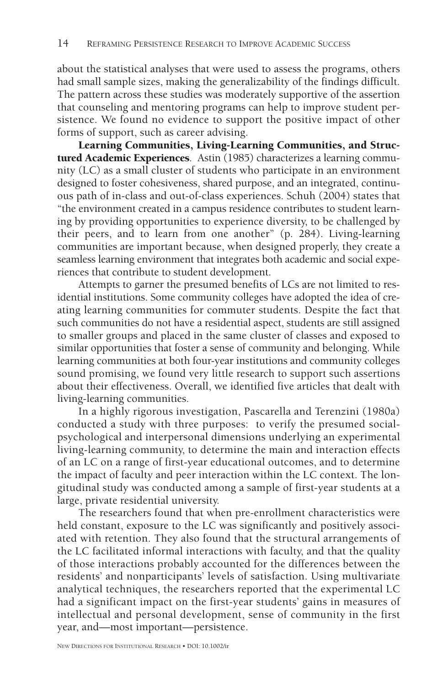about the statistical analyses that were used to assess the programs, others had small sample sizes, making the generalizability of the findings difficult. The pattern across these studies was moderately supportive of the assertion that counseling and mentoring programs can help to improve student persistence. We found no evidence to support the positive impact of other forms of support, such as career advising.

Learning Communities, Living-Learning Communities, and Structured Academic Experiences*.* Astin (1985) characterizes a learning community (LC) as a small cluster of students who participate in an environment designed to foster cohesiveness, shared purpose, and an integrated, continuous path of in-class and out-of-class experiences. Schuh (2004) states that "the environment created in a campus residence contributes to student learning by providing opportunities to experience diversity, to be challenged by their peers, and to learn from one another" (p. 284). Living-learning communities are important because, when designed properly, they create a seamless learning environment that integrates both academic and social experiences that contribute to student development.

Attempts to garner the presumed benefits of LCs are not limited to residential institutions. Some community colleges have adopted the idea of creating learning communities for commuter students. Despite the fact that such communities do not have a residential aspect, students are still assigned to smaller groups and placed in the same cluster of classes and exposed to similar opportunities that foster a sense of community and belonging. While learning communities at both four-year institutions and community colleges sound promising, we found very little research to support such assertions about their effectiveness. Overall, we identified five articles that dealt with living-learning communities.

In a highly rigorous investigation, Pascarella and Terenzini (1980a) conducted a study with three purposes: to verify the presumed socialpsychological and interpersonal dimensions underlying an experimental living-learning community, to determine the main and interaction effects of an LC on a range of first-year educational outcomes, and to determine the impact of faculty and peer interaction within the LC context. The longitudinal study was conducted among a sample of first-year students at a large, private residential university.

The researchers found that when pre-enrollment characteristics were held constant, exposure to the LC was significantly and positively associated with retention. They also found that the structural arrangements of the LC facilitated informal interactions with faculty, and that the quality of those interactions probably accounted for the differences between the residents' and nonparticipants' levels of satisfaction. Using multivariate analytical techniques, the researchers reported that the experimental LC had a significant impact on the first-year students' gains in measures of intellectual and personal development, sense of community in the first year, and—most important—persistence.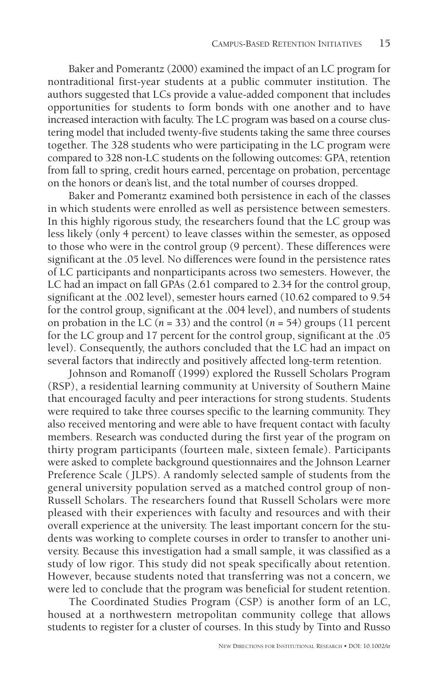Baker and Pomerantz (2000) examined the impact of an LC program for nontraditional first-year students at a public commuter institution. The authors suggested that LCs provide a value-added component that includes opportunities for students to form bonds with one another and to have increased interaction with faculty. The LC program was based on a course clustering model that included twenty-five students taking the same three courses together. The 328 students who were participating in the LC program were compared to 328 non-LC students on the following outcomes: GPA, retention from fall to spring, credit hours earned, percentage on probation, percentage on the honors or dean's list, and the total number of courses dropped.

Baker and Pomerantz examined both persistence in each of the classes in which students were enrolled as well as persistence between semesters. In this highly rigorous study, the researchers found that the LC group was less likely (only 4 percent) to leave classes within the semester, as opposed to those who were in the control group (9 percent). These differences were significant at the .05 level. No differences were found in the persistence rates of LC participants and nonparticipants across two semesters. However, the LC had an impact on fall GPAs (2.61 compared to 2.34 for the control group, significant at the .002 level), semester hours earned (10.62 compared to 9.54 for the control group, significant at the .004 level), and numbers of students on probation in the LC  $(n = 33)$  and the control  $(n = 54)$  groups (11 percent for the LC group and 17 percent for the control group, significant at the .05 level). Consequently, the authors concluded that the LC had an impact on several factors that indirectly and positively affected long-term retention.

Johnson and Romanoff (1999) explored the Russell Scholars Program (RSP), a residential learning community at University of Southern Maine that encouraged faculty and peer interactions for strong students. Students were required to take three courses specific to the learning community. They also received mentoring and were able to have frequent contact with faculty members. Research was conducted during the first year of the program on thirty program participants (fourteen male, sixteen female). Participants were asked to complete background questionnaires and the Johnson Learner Preference Scale (JLPS). A randomly selected sample of students from the general university population served as a matched control group of non-Russell Scholars. The researchers found that Russell Scholars were more pleased with their experiences with faculty and resources and with their overall experience at the university. The least important concern for the students was working to complete courses in order to transfer to another university. Because this investigation had a small sample, it was classified as a study of low rigor. This study did not speak specifically about retention. However, because students noted that transferring was not a concern, we were led to conclude that the program was beneficial for student retention.

The Coordinated Studies Program (CSP) is another form of an LC, housed at a northwestern metropolitan community college that allows students to register for a cluster of courses. In this study by Tinto and Russo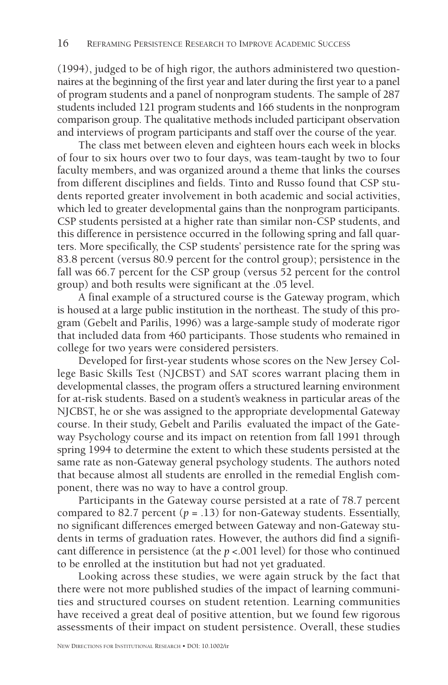(1994), judged to be of high rigor, the authors administered two questionnaires at the beginning of the first year and later during the first year to a panel of program students and a panel of nonprogram students. The sample of 287 students included 121 program students and 166 students in the nonprogram comparison group. The qualitative methods included participant observation and interviews of program participants and staff over the course of the year.

The class met between eleven and eighteen hours each week in blocks of four to six hours over two to four days, was team-taught by two to four faculty members, and was organized around a theme that links the courses from different disciplines and fields. Tinto and Russo found that CSP students reported greater involvement in both academic and social activities, which led to greater developmental gains than the nonprogram participants. CSP students persisted at a higher rate than similar non-CSP students, and this difference in persistence occurred in the following spring and fall quarters. More specifically, the CSP students' persistence rate for the spring was 83.8 percent (versus 80.9 percent for the control group); persistence in the fall was 66.7 percent for the CSP group (versus 52 percent for the control group) and both results were significant at the .05 level.

A final example of a structured course is the Gateway program, which is housed at a large public institution in the northeast. The study of this program (Gebelt and Parilis, 1996) was a large-sample study of moderate rigor that included data from 460 participants. Those students who remained in college for two years were considered persisters.

Developed for first-year students whose scores on the New Jersey College Basic Skills Test (NJCBST) and SAT scores warrant placing them in developmental classes, the program offers a structured learning environment for at-risk students. Based on a student's weakness in particular areas of the NJCBST, he or she was assigned to the appropriate developmental Gateway course. In their study, Gebelt and Parilis evaluated the impact of the Gateway Psychology course and its impact on retention from fall 1991 through spring 1994 to determine the extent to which these students persisted at the same rate as non-Gateway general psychology students. The authors noted that because almost all students are enrolled in the remedial English component, there was no way to have a control group.

Participants in the Gateway course persisted at a rate of 78.7 percent compared to 82.7 percent  $(p = .13)$  for non-Gateway students. Essentially, no significant differences emerged between Gateway and non-Gateway students in terms of graduation rates. However, the authors did find a significant difference in persistence (at the *p* <.001 level) for those who continued to be enrolled at the institution but had not yet graduated.

Looking across these studies, we were again struck by the fact that there were not more published studies of the impact of learning communities and structured courses on student retention. Learning communities have received a great deal of positive attention, but we found few rigorous assessments of their impact on student persistence. Overall, these studies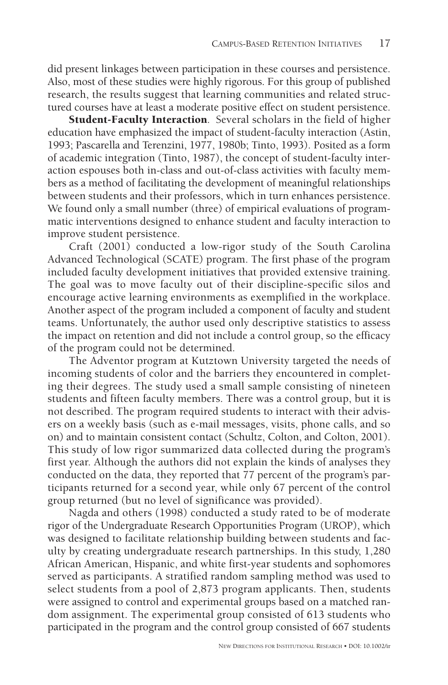did present linkages between participation in these courses and persistence. Also, most of these studies were highly rigorous. For this group of published research, the results suggest that learning communities and related structured courses have at least a moderate positive effect on student persistence.

Student-Faculty Interaction*.* Several scholars in the field of higher education have emphasized the impact of student-faculty interaction (Astin, 1993; Pascarella and Terenzini, 1977, 1980b; Tinto, 1993). Posited as a form of academic integration (Tinto, 1987), the concept of student-faculty interaction espouses both in-class and out-of-class activities with faculty members as a method of facilitating the development of meaningful relationships between students and their professors, which in turn enhances persistence. We found only a small number (three) of empirical evaluations of programmatic interventions designed to enhance student and faculty interaction to improve student persistence.

Craft (2001) conducted a low-rigor study of the South Carolina Advanced Technological (SCATE) program. The first phase of the program included faculty development initiatives that provided extensive training. The goal was to move faculty out of their discipline-specific silos and encourage active learning environments as exemplified in the workplace. Another aspect of the program included a component of faculty and student teams. Unfortunately, the author used only descriptive statistics to assess the impact on retention and did not include a control group, so the efficacy of the program could not be determined.

The Adventor program at Kutztown University targeted the needs of incoming students of color and the barriers they encountered in completing their degrees. The study used a small sample consisting of nineteen students and fifteen faculty members. There was a control group, but it is not described. The program required students to interact with their advisers on a weekly basis (such as e-mail messages, visits, phone calls, and so on) and to maintain consistent contact (Schultz, Colton, and Colton, 2001). This study of low rigor summarized data collected during the program's first year. Although the authors did not explain the kinds of analyses they conducted on the data, they reported that 77 percent of the program's participants returned for a second year, while only 67 percent of the control group returned (but no level of significance was provided).

Nagda and others (1998) conducted a study rated to be of moderate rigor of the Undergraduate Research Opportunities Program (UROP), which was designed to facilitate relationship building between students and faculty by creating undergraduate research partnerships. In this study, 1,280 African American, Hispanic, and white first-year students and sophomores served as participants. A stratified random sampling method was used to select students from a pool of 2,873 program applicants. Then, students were assigned to control and experimental groups based on a matched random assignment. The experimental group consisted of 613 students who participated in the program and the control group consisted of 667 students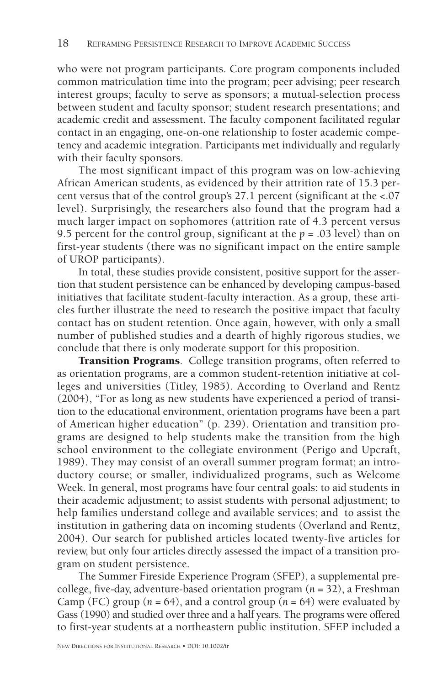who were not program participants. Core program components included common matriculation time into the program; peer advising; peer research interest groups; faculty to serve as sponsors; a mutual-selection process between student and faculty sponsor; student research presentations; and academic credit and assessment. The faculty component facilitated regular contact in an engaging, one-on-one relationship to foster academic competency and academic integration. Participants met individually and regularly with their faculty sponsors.

The most significant impact of this program was on low-achieving African American students, as evidenced by their attrition rate of 15.3 percent versus that of the control group's 27.1 percent (significant at the <.07 level). Surprisingly, the researchers also found that the program had a much larger impact on sophomores (attrition rate of 4.3 percent versus 9.5 percent for the control group, significant at the  $p = .03$  level) than on first-year students (there was no significant impact on the entire sample of UROP participants).

In total, these studies provide consistent, positive support for the assertion that student persistence can be enhanced by developing campus-based initiatives that facilitate student-faculty interaction. As a group, these articles further illustrate the need to research the positive impact that faculty contact has on student retention. Once again, however, with only a small number of published studies and a dearth of highly rigorous studies, we conclude that there is only moderate support for this proposition.

Transition Programs*.* College transition programs, often referred to as orientation programs, are a common student-retention initiative at colleges and universities (Titley, 1985). According to Overland and Rentz (2004), "For as long as new students have experienced a period of transition to the educational environment, orientation programs have been a part of American higher education" (p. 239). Orientation and transition programs are designed to help students make the transition from the high school environment to the collegiate environment (Perigo and Upcraft, 1989). They may consist of an overall summer program format; an introductory course; or smaller, individualized programs, such as Welcome Week. In general, most programs have four central goals: to aid students in their academic adjustment; to assist students with personal adjustment; to help families understand college and available services; and to assist the institution in gathering data on incoming students (Overland and Rentz, 2004). Our search for published articles located twenty-five articles for review, but only four articles directly assessed the impact of a transition program on student persistence.

The Summer Fireside Experience Program (SFEP), a supplemental precollege, five-day, adventure-based orientation program (*n* = 32), a Freshman Camp (FC) group ( $n = 64$ ), and a control group ( $n = 64$ ) were evaluated by Gass (1990) and studied over three and a half years. The programs were offered to first-year students at a northeastern public institution. SFEP included a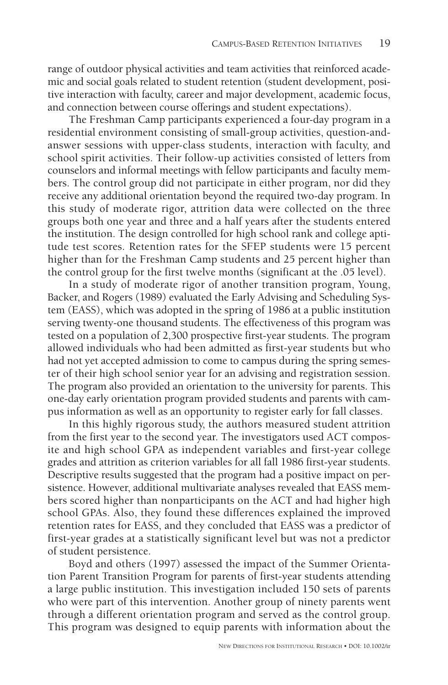range of outdoor physical activities and team activities that reinforced academic and social goals related to student retention (student development, positive interaction with faculty, career and major development, academic focus, and connection between course offerings and student expectations).

The Freshman Camp participants experienced a four-day program in a residential environment consisting of small-group activities, question-andanswer sessions with upper-class students, interaction with faculty, and school spirit activities. Their follow-up activities consisted of letters from counselors and informal meetings with fellow participants and faculty members. The control group did not participate in either program, nor did they receive any additional orientation beyond the required two-day program. In this study of moderate rigor, attrition data were collected on the three groups both one year and three and a half years after the students entered the institution. The design controlled for high school rank and college aptitude test scores. Retention rates for the SFEP students were 15 percent higher than for the Freshman Camp students and 25 percent higher than the control group for the first twelve months (significant at the .05 level).

In a study of moderate rigor of another transition program, Young, Backer, and Rogers (1989) evaluated the Early Advising and Scheduling System (EASS), which was adopted in the spring of 1986 at a public institution serving twenty-one thousand students. The effectiveness of this program was tested on a population of 2,300 prospective first-year students. The program allowed individuals who had been admitted as first-year students but who had not yet accepted admission to come to campus during the spring semester of their high school senior year for an advising and registration session. The program also provided an orientation to the university for parents. This one-day early orientation program provided students and parents with campus information as well as an opportunity to register early for fall classes.

In this highly rigorous study, the authors measured student attrition from the first year to the second year. The investigators used ACT composite and high school GPA as independent variables and first-year college grades and attrition as criterion variables for all fall 1986 first-year students. Descriptive results suggested that the program had a positive impact on persistence. However, additional multivariate analyses revealed that EASS members scored higher than nonparticipants on the ACT and had higher high school GPAs. Also, they found these differences explained the improved retention rates for EASS, and they concluded that EASS was a predictor of first-year grades at a statistically significant level but was not a predictor of student persistence.

Boyd and others (1997) assessed the impact of the Summer Orientation Parent Transition Program for parents of first-year students attending a large public institution. This investigation included 150 sets of parents who were part of this intervention. Another group of ninety parents went through a different orientation program and served as the control group. This program was designed to equip parents with information about the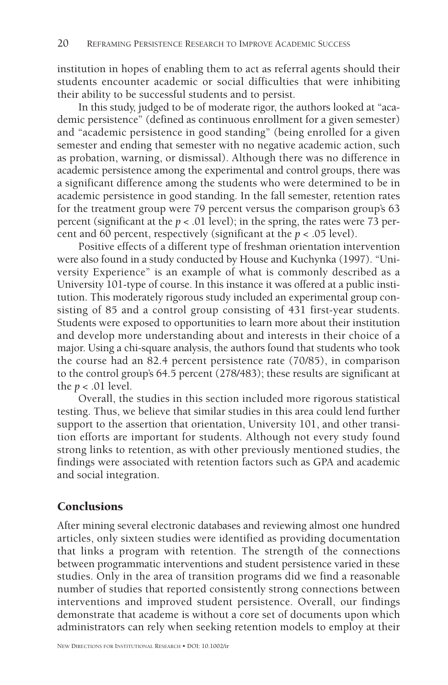institution in hopes of enabling them to act as referral agents should their students encounter academic or social difficulties that were inhibiting their ability to be successful students and to persist.

In this study, judged to be of moderate rigor, the authors looked at "academic persistence" (defined as continuous enrollment for a given semester) and "academic persistence in good standing" (being enrolled for a given semester and ending that semester with no negative academic action, such as probation, warning, or dismissal). Although there was no difference in academic persistence among the experimental and control groups, there was a significant difference among the students who were determined to be in academic persistence in good standing. In the fall semester, retention rates for the treatment group were 79 percent versus the comparison group's 63 percent (significant at the *p* < .01 level); in the spring, the rates were 73 percent and 60 percent, respectively (significant at the *p* < .05 level).

Positive effects of a different type of freshman orientation intervention were also found in a study conducted by House and Kuchynka (1997). "University Experience" is an example of what is commonly described as a University 101-type of course. In this instance it was offered at a public institution. This moderately rigorous study included an experimental group consisting of 85 and a control group consisting of 431 first-year students. Students were exposed to opportunities to learn more about their institution and develop more understanding about and interests in their choice of a major. Using a chi-square analysis, the authors found that students who took the course had an 82.4 percent persistence rate (70/85), in comparison to the control group's 64.5 percent (278/483); these results are significant at the  $p < .01$  level.

Overall, the studies in this section included more rigorous statistical testing. Thus, we believe that similar studies in this area could lend further support to the assertion that orientation, University 101, and other transition efforts are important for students. Although not every study found strong links to retention, as with other previously mentioned studies, the findings were associated with retention factors such as GPA and academic and social integration.

### **Conclusions**

After mining several electronic databases and reviewing almost one hundred articles, only sixteen studies were identified as providing documentation that links a program with retention. The strength of the connections between programmatic interventions and student persistence varied in these studies. Only in the area of transition programs did we find a reasonable number of studies that reported consistently strong connections between interventions and improved student persistence. Overall, our findings demonstrate that academe is without a core set of documents upon which administrators can rely when seeking retention models to employ at their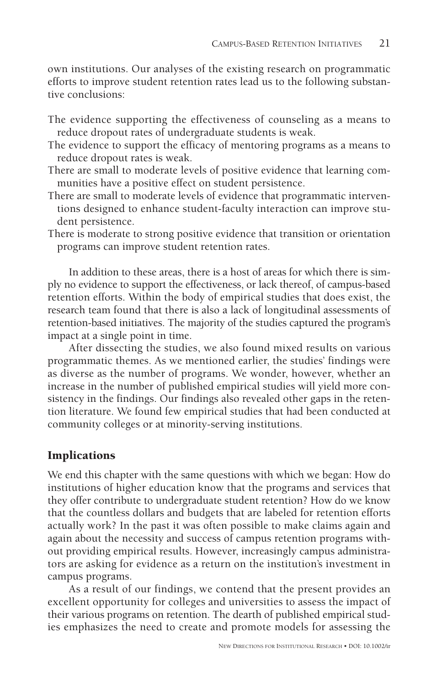own institutions. Our analyses of the existing research on programmatic efforts to improve student retention rates lead us to the following substantive conclusions:

- The evidence supporting the effectiveness of counseling as a means to reduce dropout rates of undergraduate students is weak.
- The evidence to support the efficacy of mentoring programs as a means to reduce dropout rates is weak.
- There are small to moderate levels of positive evidence that learning communities have a positive effect on student persistence.
- There are small to moderate levels of evidence that programmatic interventions designed to enhance student-faculty interaction can improve student persistence.
- There is moderate to strong positive evidence that transition or orientation programs can improve student retention rates.

In addition to these areas, there is a host of areas for which there is simply no evidence to support the effectiveness, or lack thereof, of campus-based retention efforts. Within the body of empirical studies that does exist, the research team found that there is also a lack of longitudinal assessments of retention-based initiatives. The majority of the studies captured the program's impact at a single point in time.

After dissecting the studies, we also found mixed results on various programmatic themes. As we mentioned earlier, the studies' findings were as diverse as the number of programs. We wonder, however, whether an increase in the number of published empirical studies will yield more consistency in the findings. Our findings also revealed other gaps in the retention literature. We found few empirical studies that had been conducted at community colleges or at minority-serving institutions.

#### Implications

We end this chapter with the same questions with which we began: How do institutions of higher education know that the programs and services that they offer contribute to undergraduate student retention? How do we know that the countless dollars and budgets that are labeled for retention efforts actually work? In the past it was often possible to make claims again and again about the necessity and success of campus retention programs without providing empirical results. However, increasingly campus administrators are asking for evidence as a return on the institution's investment in campus programs.

As a result of our findings, we contend that the present provides an excellent opportunity for colleges and universities to assess the impact of their various programs on retention. The dearth of published empirical studies emphasizes the need to create and promote models for assessing the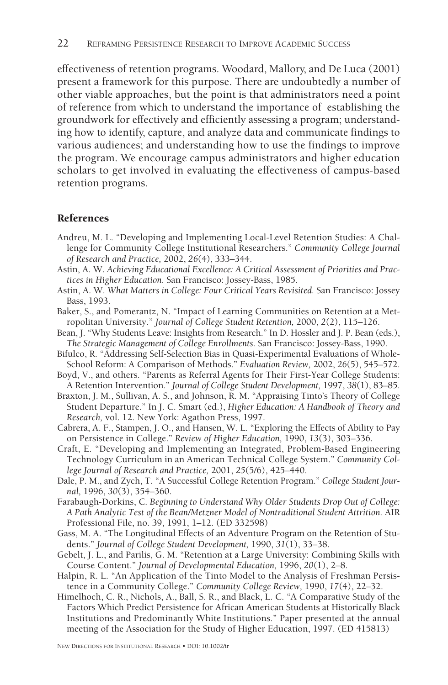effectiveness of retention programs. Woodard, Mallory, and De Luca (2001) present a framework for this purpose. There are undoubtedly a number of other viable approaches, but the point is that administrators need a point of reference from which to understand the importance of establishing the groundwork for effectively and efficiently assessing a program; understanding how to identify, capture, and analyze data and communicate findings to various audiences; and understanding how to use the findings to improve the program. We encourage campus administrators and higher education scholars to get involved in evaluating the effectiveness of campus-based retention programs.

#### **References**

- Andreu, M. L. "Developing and Implementing Local-Level Retention Studies: A Challenge for Community College Institutional Researchers." *Community College Journal of Research and Practice,* 2002, *26*(4), 333–344.
- Astin, A. W. *Achieving Educational Excellence: A Critical Assessment of Priorities and Practices in Higher Education.* San Francisco: Jossey-Bass, 1985.
- Astin, A. W. *What Matters in College: Four Critical Years Revisited.* San Francisco: Jossey Bass, 1993.
- Baker, S., and Pomerantz, N. "Impact of Learning Communities on Retention at a Metropolitan University." *Journal of College Student Retention,* 2000, *2*(2), 115–126.
- Bean, J. "Why Students Leave: Insights from Research." In D. Hossler and J. P. Bean (eds.), *The Strategic Management of College Enrollments.* San Francisco: Jossey-Bass, 1990.
- Bifulco, R. "Addressing Self-Selection Bias in Quasi-Experimental Evaluations of Whole-School Reform: A Comparison of Methods." *Evaluation Review,* 2002, *26*(5), 545–572.
- Boyd, V., and others. "Parents as Referral Agents for Their First-Year College Students: A Retention Intervention." *Journal of College Student Development,* 1997, *38*(1), 83–85.
- Braxton, J. M., Sullivan, A. S., and Johnson, R. M. "Appraising Tinto's Theory of College Student Departure." In J. C. Smart (ed.), *Higher Education: A Handbook of Theory and Research,* vol. 12. New York: Agathon Press, 1997.
- Cabrera, A. F., Stampen, J. O., and Hansen, W. L. "Exploring the Effects of Ability to Pay on Persistence in College." *Review of Higher Education,* 1990, *13*(3), 303–336.
- Craft, E. "Developing and Implementing an Integrated, Problem-Based Engineering Technology Curriculum in an American Technical College System." *Community College Journal of Research and Practice,* 2001, *25*(5/6), 425–440.
- Dale, P. M., and Zych, T. "A Successful College Retention Program." *College Student Journal,* 1996, *30*(3), 354–360.
- Farabaugh-Dorkins, C. *Beginning to Understand Why Older Students Drop Out of College: A Path Analytic Test of the Bean/Metzner Model of Nontraditional Student Attrition.* AIR Professional File, no. 39, 1991, 1–12. (ED 332598)
- Gass, M. A. "The Longitudinal Effects of an Adventure Program on the Retention of Students." *Journal of College Student Development,* 1990, *31*(1), 33–38.
- Gebelt, J. L., and Parilis, G. M. "Retention at a Large University: Combining Skills with Course Content." *Journal of Developmental Education,* 1996, *20*(1), 2–8.
- Halpin, R. L. "An Application of the Tinto Model to the Analysis of Freshman Persistence in a Community College." *Community College Review,* 1990, *17*(4), 22–32.
- Himelhoch, C. R., Nichols, A., Ball, S. R., and Black, L. C. "A Comparative Study of the Factors Which Predict Persistence for African American Students at Historically Black Institutions and Predominantly White Institutions." Paper presented at the annual meeting of the Association for the Study of Higher Education, 1997. (ED 415813)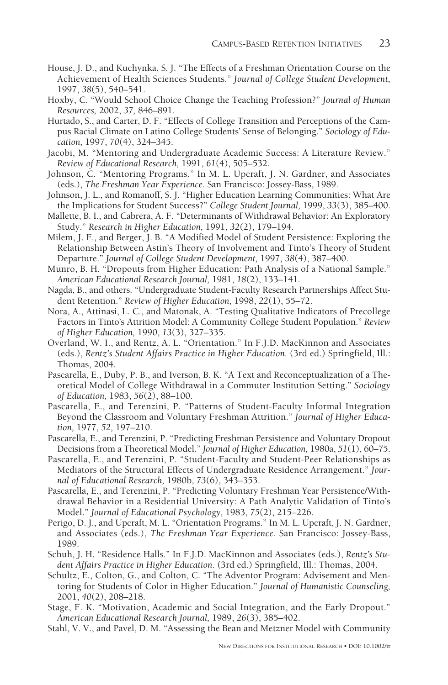- House, J. D., and Kuchynka, S. J. "The Effects of a Freshman Orientation Course on the Achievement of Health Sciences Students." *Journal of College Student Development,* 1997, *38*(5), 540–541.
- Hoxby, C. "Would School Choice Change the Teaching Profession?" *Journal of Human Resources,* 2002, *37,* 846–891.
- Hurtado, S., and Carter, D. F. "Effects of College Transition and Perceptions of the Campus Racial Climate on Latino College Students' Sense of Belonging." *Sociology of Education,* 1997, *70*(4), 324–345.
- Jacobi, M. "Mentoring and Undergraduate Academic Success: A Literature Review." *Review of Educational Research,* 1991, *61*(4), 505–532.
- Johnson, C. "Mentoring Programs." In M. L. Upcraft, J. N. Gardner, and Associates (eds.), *The Freshman Year Experience.* San Francisco: Jossey-Bass, 1989.
- Johnson, J. L., and Romanoff, S. J. "Higher Education Learning Communities: What Are the Implications for Student Success?" *College Student Journal,* 1999, *33*(3), 385–400.
- Mallette, B. I., and Cabrera, A. F. "Determinants of Withdrawal Behavior: An Exploratory Study." *Research in Higher Education,* 1991, *32*(2), 179–194.
- Milem, J. F., and Berger, J. B. "A Modified Model of Student Persistence: Exploring the Relationship Between Astin's Theory of Involvement and Tinto's Theory of Student Departure." *Journal of College Student Development,* 1997, *38*(4), 387–400.
- Munro, B. H. "Dropouts from Higher Education: Path Analysis of a National Sample." *American Educational Research Journal,* 1981, *18*(2), 133–141.
- Nagda, B., and others. "Undergraduate Student-Faculty Research Partnerships Affect Student Retention." *Review of Higher Education,* 1998, *22*(1), 55–72.
- Nora, A., Attinasi, L. C., and Matonak, A. "Testing Qualitative Indicators of Precollege Factors in Tinto's Attrition Model: A Community College Student Population." *Review of Higher Education,* 1990, *13*(3), 327–335.
- Overland, W. I., and Rentz, A. L. "Orientation." In F.J.D. MacKinnon and Associates (eds.), *Rentz's Student Affairs Practice in Higher Education.* (3rd ed.) Springfield, Ill.: Thomas, 2004.
- Pascarella, E., Duby, P. B., and Iverson, B. K. "A Text and Reconceptualization of a Theoretical Model of College Withdrawal in a Commuter Institution Setting." *Sociology of Education,* 1983, *56*(2), 88–100.
- Pascarella, E., and Terenzini, P. "Patterns of Student-Faculty Informal Integration Beyond the Classroom and Voluntary Freshman Attrition." *Journal of Higher Education,* 1977, *52,* 197–210.
- Pascarella, E., and Terenzini, P. "Predicting Freshman Persistence and Voluntary Dropout Decisions from a Theoretical Model." *Journal of Higher Education,* 1980a, *51*(1), 60–75.
- Pascarella, E., and Terenzini, P. "Student-Faculty and Student-Peer Relationships as Mediators of the Structural Effects of Undergraduate Residence Arrangement." *Journal of Educational Research,* 1980b, *73*(6), 343–353.
- Pascarella, E., and Terenzini, P. "Predicting Voluntary Freshman Year Persistence/Withdrawal Behavior in a Residential University: A Path Analytic Validation of Tinto's Model." *Journal of Educational Psychology,* 1983, *75*(2), 215–226.
- Perigo, D. J., and Upcraft, M. L. "Orientation Programs." In M. L. Upcraft, J. N. Gardner, and Associates (eds.), *The Freshman Year Experience.* San Francisco: Jossey-Bass, 1989.
- Schuh, J. H. "Residence Halls." In F.J.D. MacKinnon and Associates (eds.), *Rentz's Student Affairs Practice in Higher Education.* (3rd ed.) Springfield, Ill.: Thomas, 2004.
- Schultz, E., Colton, G., and Colton, C. "The Adventor Program: Advisement and Mentoring for Students of Color in Higher Education." *Journal of Humanistic Counseling,* 2001, *40*(2), 208–218.
- Stage, F. K. "Motivation, Academic and Social Integration, and the Early Dropout." *American Educational Research Journal,* 1989, *26*(3), 385–402.
- Stahl, V. V., and Pavel, D. M. "Assessing the Bean and Metzner Model with Community